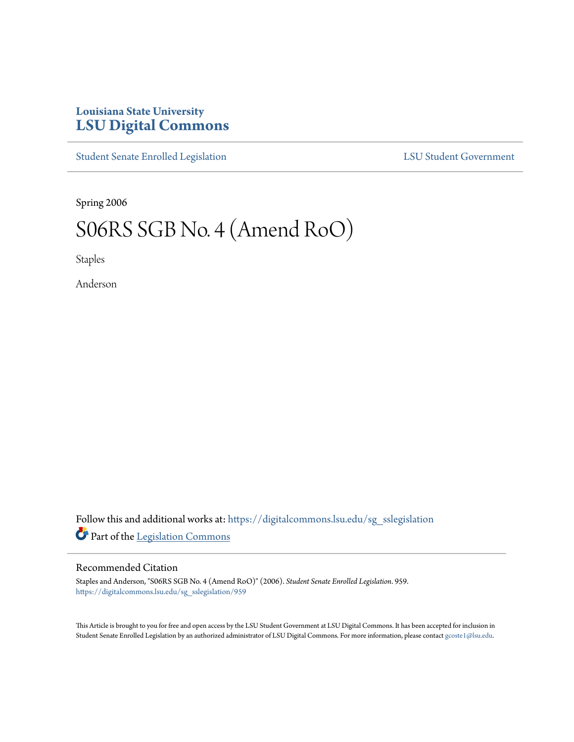## **Louisiana State University [LSU Digital Commons](https://digitalcommons.lsu.edu?utm_source=digitalcommons.lsu.edu%2Fsg_sslegislation%2F959&utm_medium=PDF&utm_campaign=PDFCoverPages)**

[Student Senate Enrolled Legislation](https://digitalcommons.lsu.edu/sg_sslegislation?utm_source=digitalcommons.lsu.edu%2Fsg_sslegislation%2F959&utm_medium=PDF&utm_campaign=PDFCoverPages) [LSU Student Government](https://digitalcommons.lsu.edu/sg?utm_source=digitalcommons.lsu.edu%2Fsg_sslegislation%2F959&utm_medium=PDF&utm_campaign=PDFCoverPages)

Spring 2006

# S06RS SGB No. 4 (Amend RoO)

Staples

Anderson

Follow this and additional works at: [https://digitalcommons.lsu.edu/sg\\_sslegislation](https://digitalcommons.lsu.edu/sg_sslegislation?utm_source=digitalcommons.lsu.edu%2Fsg_sslegislation%2F959&utm_medium=PDF&utm_campaign=PDFCoverPages) Part of the [Legislation Commons](http://network.bepress.com/hgg/discipline/859?utm_source=digitalcommons.lsu.edu%2Fsg_sslegislation%2F959&utm_medium=PDF&utm_campaign=PDFCoverPages)

#### Recommended Citation

Staples and Anderson, "S06RS SGB No. 4 (Amend RoO)" (2006). *Student Senate Enrolled Legislation*. 959. [https://digitalcommons.lsu.edu/sg\\_sslegislation/959](https://digitalcommons.lsu.edu/sg_sslegislation/959?utm_source=digitalcommons.lsu.edu%2Fsg_sslegislation%2F959&utm_medium=PDF&utm_campaign=PDFCoverPages)

This Article is brought to you for free and open access by the LSU Student Government at LSU Digital Commons. It has been accepted for inclusion in Student Senate Enrolled Legislation by an authorized administrator of LSU Digital Commons. For more information, please contact [gcoste1@lsu.edu.](mailto:gcoste1@lsu.edu)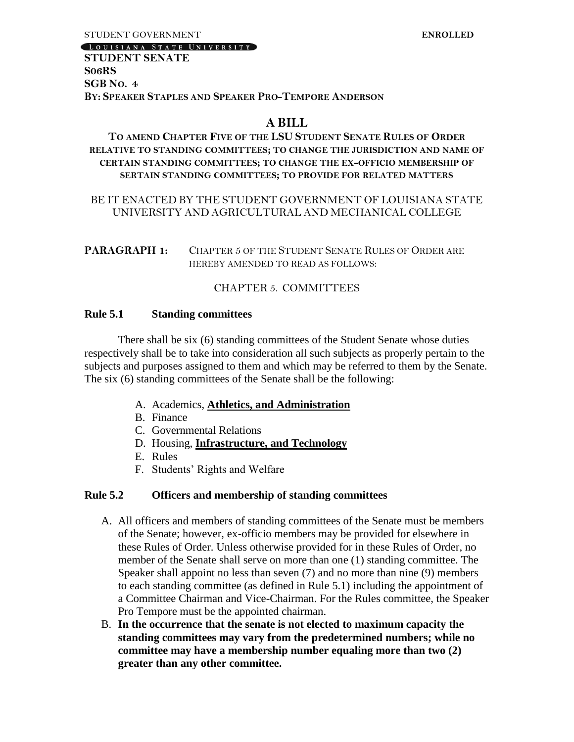#### LOUISIANA STATE UNIVERSITY

#### **STUDENT SENATE S06RS SGB NO. 4 BY: SPEAKER STAPLES AND SPEAKER PRO-TEMPORE ANDERSON**

#### **A BILL**

#### **TO AMEND CHAPTER FIVE OF THE LSU STUDENT SENATE RULES OF ORDER RELATIVE TO STANDING COMMITTEES; TO CHANGE THE JURISDICTION AND NAME OF CERTAIN STANDING COMMITTEES; TO CHANGE THE EX-OFFICIO MEMBERSHIP OF SERTAIN STANDING COMMITTEES; TO PROVIDE FOR RELATED MATTERS**

#### BE IT ENACTED BY THE STUDENT GOVERNMENT OF LOUISIANA STATE UNIVERSITY AND AGRICULTURAL AND MECHANICAL COLLEGE

**PARAGRAPH 1:** CHAPTER 5 OF THE STUDENT SENATE RULES OF ORDER ARE HEREBY AMENDED TO READ AS FOLLOWS:

#### CHAPTER 5. COMMITTEES

#### **Rule 5.1 Standing committees**

There shall be six (6) standing committees of the Student Senate whose duties respectively shall be to take into consideration all such subjects as properly pertain to the subjects and purposes assigned to them and which may be referred to them by the Senate. The six (6) standing committees of the Senate shall be the following:

- A. Academics, **Athletics, and Administration**
- B. Finance
- C. Governmental Relations
- D. Housing, **Infrastructure, and Technology**
- E. Rules
- F. Students' Rights and Welfare

#### **Rule 5.2 Officers and membership of standing committees**

- A. All officers and members of standing committees of the Senate must be members of the Senate; however, ex-officio members may be provided for elsewhere in these Rules of Order. Unless otherwise provided for in these Rules of Order, no member of the Senate shall serve on more than one (1) standing committee. The Speaker shall appoint no less than seven (7) and no more than nine (9) members to each standing committee (as defined in Rule 5.1) including the appointment of a Committee Chairman and Vice-Chairman. For the Rules committee, the Speaker Pro Tempore must be the appointed chairman.
- B. **In the occurrence that the senate is not elected to maximum capacity the standing committees may vary from the predetermined numbers; while no committee may have a membership number equaling more than two (2) greater than any other committee.**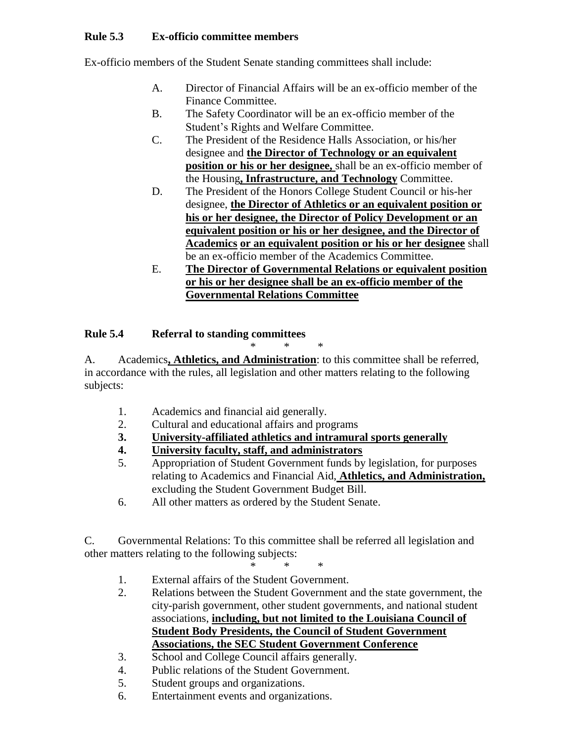### **Rule 5.3 Ex-officio committee members**

Ex-officio members of the Student Senate standing committees shall include:

- A. Director of Financial Affairs will be an ex-officio member of the Finance Committee.
- B. The Safety Coordinator will be an ex-officio member of the Student's Rights and Welfare Committee.
- C. The President of the Residence Halls Association, or his/her designee and **the Director of Technology or an equivalent position or his or her designee,** shall be an ex-officio member of the Housing**, Infrastructure, and Technology** Committee.
- D. The President of the Honors College Student Council or his-her designee, **the Director of Athletics or an equivalent position or his or her designee, the Director of Policy Development or an equivalent position or his or her designee, and the Director of Academics or an equivalent position or his or her designee** shall be an ex-officio member of the Academics Committee.
- E. **The Director of Governmental Relations or equivalent position or his or her designee shall be an ex-officio member of the Governmental Relations Committee**

#### **Rule 5.4 Referral to standing committees**

\* \* \* A. Academics**, Athletics, and Administration**: to this committee shall be referred, in accordance with the rules, all legislation and other matters relating to the following subjects:

- 1. Academics and financial aid generally.
- 2. Cultural and educational affairs and programs
- **3. University-affiliated athletics and intramural sports generally**
- **4. University faculty, staff, and administrators**
- 5. Appropriation of Student Government funds by legislation, for purposes relating to Academics and Financial Aid, **Athletics, and Administration,**  excluding the Student Government Budget Bill.
- 6. All other matters as ordered by the Student Senate.

C. Governmental Relations: To this committee shall be referred all legislation and other matters relating to the following subjects:

- \* \* \* 1. External affairs of the Student Government.
- 2. Relations between the Student Government and the state government, the city-parish government, other student governments, and national student associations, **including, but not limited to the Louisiana Council of Student Body Presidents, the Council of Student Government Associations, the SEC Student Government Conference**
- 3. School and College Council affairs generally.
- 4. Public relations of the Student Government.
- 5. Student groups and organizations.
- 6. Entertainment events and organizations.